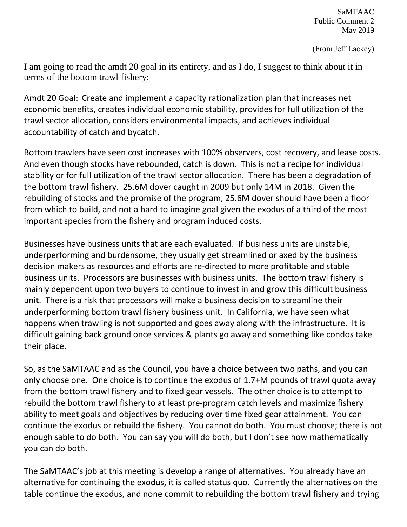SaMTAAC Public Comment 2 May 2019

(From Jeff Lackey)

I am going to read the amdt 20 goal in its entirety, and as I do, I suggest to think about it in terms of the bottom trawl fishery:

Amdt 20 Goal: Create and implement a capacity rationalization plan that increases net economic benefits, creates individual economic stability, provides for full utilization of the trawl sector allocation, considers environmental impacts, and achieves individual accountability of catch and bycatch.

Bottom trawlers have seen cost increases with 100% observers, cost recovery, and lease costs. And even though stocks have rebounded, catch is down. This is not a recipe for individual stability or for full utilization of the trawl sector allocation. There has been a degradation of the bottom trawl fishery. 25.6M dover caught in 2009 but only 14M in 2018. Given the rebuilding of stocks and the promise of the program, 25.6M dover should have been a floor from which to build, and not a hard to imagine goal given the exodus of a third of the most important species from the fishery and program induced costs.

Businesses have business units that are each evaluated. If business units are unstable, underperforming and burdensome, they usually get streamlined or axed by the business decision makers as resources and efforts are re-directed to more profitable and stable business units. Processors are businesses with business units. The bottom trawl fishery is mainly dependent upon two buyers to continue to invest in and grow this difficult business unit. There is a risk that processors will make a business decision to streamline their underperforming bottom trawl fishery business unit. In California, we have seen what happens when trawling is not supported and goes away along with the infrastructure. It is difficult gaining back ground once services & plants go away and something like condos take their place.

So, as the SaMTAAC and as the Council, you have a choice between two paths, and you can only choose one. One choice is to continue the exodus of 1.7+M pounds of trawl quota away from the bottom trawl fishery and to fixed gear vessels. The other choice is to attempt to rebuild the bottom trawl fishery to at least pre-program catch levels and maximize fishery ability to meet goals and objectives by reducing over time fixed gear attainment. You can continue the exodus or rebuild the fishery. You cannot do both. You must choose; there is not enough sable to do both. You can say you will do both, but I don't see how mathematically you can do both.

The SaMTAAC's job at this meeting is develop a range of alternatives. You already have an alternative for continuing the exodus, it is called status quo. Currently the alternatives on the table continue the exodus, and none commit to rebuilding the bottom trawl fishery and trying